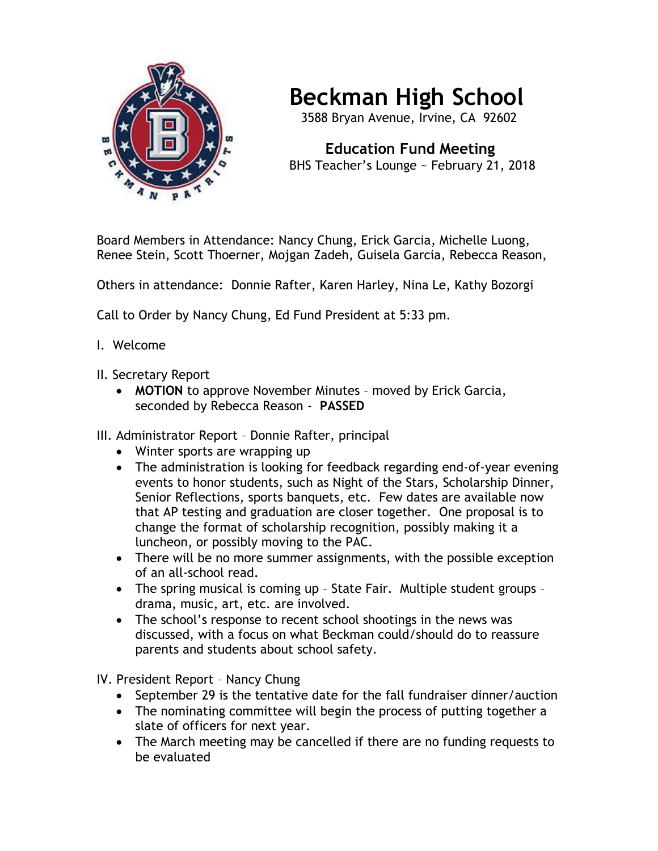

## **Beckman High School**

3588 Bryan Avenue, Irvine, CA 92602

 **Education Fund Meeting** BHS Teacher's Lounge ~ February 21, 2018

Board Members in Attendance: Nancy Chung, Erick Garcia, Michelle Luong, Renee Stein, Scott Thoerner, Mojgan Zadeh, Guisela Garcia, Rebecca Reason,

Others in attendance: Donnie Rafter, Karen Harley, Nina Le, Kathy Bozorgi

Call to Order by Nancy Chung, Ed Fund President at 5:33 pm.

- I. Welcome
- II. Secretary Report
	- **MOTION** to approve November Minutes moved by Erick Garcia, seconded by Rebecca Reason - **PASSED**

III. Administrator Report – Donnie Rafter, principal

- Winter sports are wrapping up
- The administration is looking for feedback regarding end-of-year evening events to honor students, such as Night of the Stars, Scholarship Dinner, Senior Reflections, sports banquets, etc. Few dates are available now that AP testing and graduation are closer together. One proposal is to change the format of scholarship recognition, possibly making it a luncheon, or possibly moving to the PAC.
- There will be no more summer assignments, with the possible exception of an all-school read.
- The spring musical is coming up State Fair. Multiple student groups drama, music, art, etc. are involved.
- The school's response to recent school shootings in the news was discussed, with a focus on what Beckman could/should do to reassure parents and students about school safety.

IV. President Report – Nancy Chung

- September 29 is the tentative date for the fall fundraiser dinner/auction
- The nominating committee will begin the process of putting together a slate of officers for next year.
- The March meeting may be cancelled if there are no funding requests to be evaluated